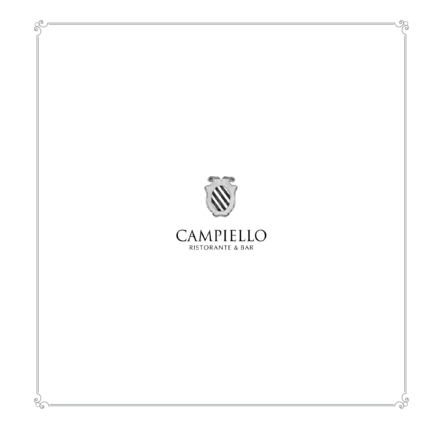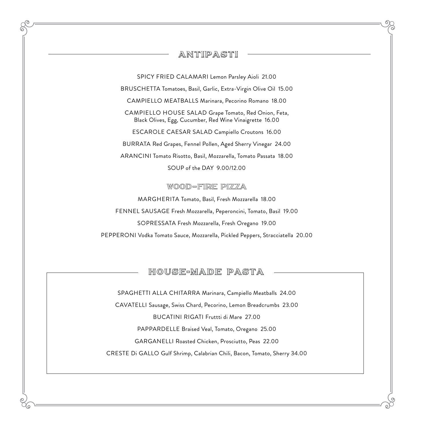### ANTIPASTI

SPICY FRIED CALAMARI Lemon Parsley Aioli 21.00

BRUSCHETTA Tomatoes, Basil, Garlic, Extra-Virgin Olive Oil 15.00

CAMPIELLO MEATBALLS Marinara, Pecorino Romano 18.00

CAMPIELLO HOUSE SALAD Grape Tomato, Red Onion, Feta, Black Olives, Egg, Cucumber, Red Wine Vinaigrette 16.00

ESCAROLE CAESAR SALAD Campiello Croutons 16.00

BURRATA Red Grapes, Fennel Pollen, Aged Sherry Vinegar 24.00

ARANCINI Tomato Risotto, Basil, Mozzarella, Tomato Passata 18.00

SOUP of the DAY 9.00/12.00

#### wood–fire pizza

MARGHERITA Tomato, Basil, Fresh Mozzarella 18.00 FENNEL SAUSAGE Fresh Mozzarella, Peperoncini, Tomato, Basil 19.00 SOPRESSATA Fresh Mozzarella, Fresh Oregano 19.00 PEPPERONI Vodka Tomato Sauce, Mozzarella, Pickled Peppers, Stracciatella 20.00

### HOUSE-MADE PASTA

SPAGHETTI ALLA CHITARRA Marinara, Campiello Meatballs 24.00

CAVATELLI Sausage, Swiss Chard, Pecorino, Lemon Breadcrumbs 23.00

BUCATINI RIGATI Fruttti di Mare 27.00

PAPPARDELLE Braised Veal, Tomato, Oregano 25.00

GARGANELLI Roasted Chicken, Prosciutto, Peas 22.00

CRESTE Di GALLO Gulf Shrimp, Calabrian Chili, Bacon, Tomato, Sherry 34.00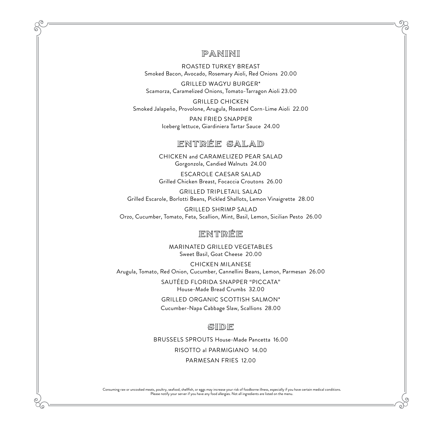### PANINI

ROASTED TURKEY BREAST Smoked Bacon, Avocado, Rosemary Aioli, Red Onions 20.00

GRILLED WAGYU BURGER\* Scamorza, Caramelized Onions, Tomato-Tarragon Aioli 23.00

GRILLED CHICKEN Smoked Jalapeño, Provolone, Arugula, Roasted Corn-Lime Aioli 22.00

> PAN FRIED SNAPPER Iceberg lettuce, Giardiniera Tartar Sauce 24.00

## ENTRÉE SALAD

CHICKEN and CARAMELIZED PEAR SALAD Gorgonzola, Candied Walnuts 24.00

ESCAROLE CAESAR SALAD Grilled Chicken Breast, Focaccia Croutons 26.00

GRILLED TRIPLETAIL SALAD Grilled Escarole, Borlotti Beans, Pickled Shallots, Lemon Vinaigrette 28.00

GRILLED SHRIMP SALAD Orzo, Cucumber, Tomato, Feta, Scallion, Mint, Basil, Lemon, Sicilian Pesto 26.00

## ENTRÉE

MARINATED GRILLED VEGETABLES Sweet Basil, Goat Cheese 20.00

CHICKEN MILANESE Arugula, Tomato, Red Onion, Cucumber, Cannellini Beans, Lemon, Parmesan 26.00

> SAUTÉED FLORIDA SNAPPER "PICCATA" House-Made Bread Crumbs 32.00

GRILLED ORGANIC SCOTTISH SALMON\* Cucumber-Napa Cabbage Slaw, Scallions 28.00

#### SIDE

BRUSSELS SPROUTS House-Made Pancetta 16.00

RISOTTO al PARMIGIANO 14.00

PARMESAN FRIES 12.00

Consuming raw or uncooked meats, poultry, seafood, shellfish, or eggs may increase your risk of foodborne illness, especially if you have certain medical conditions. Please notify your server if you have any food allergies. Not all ingredients are listed on the menu.